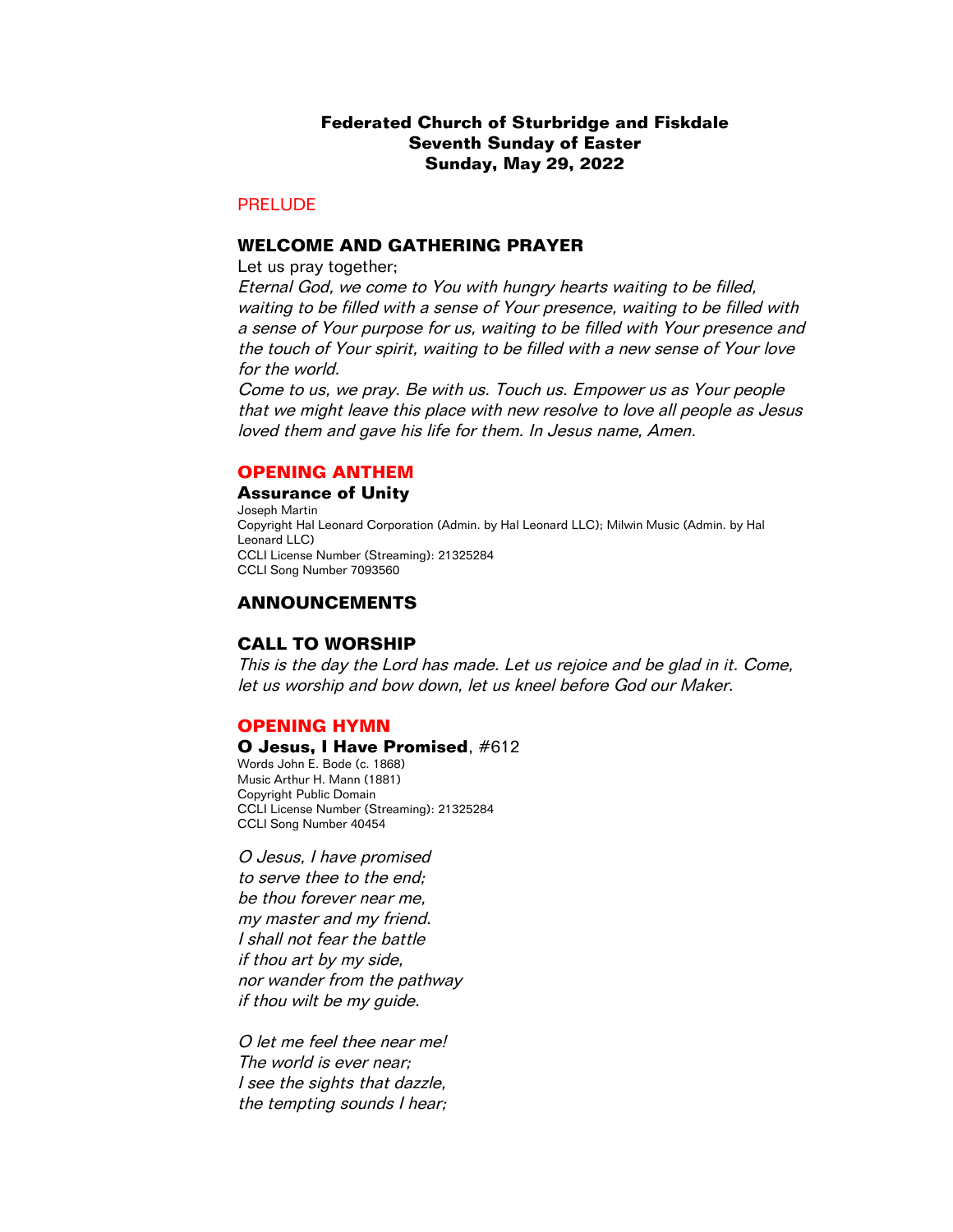# **Federated Church of Sturbridge and Fiskdale Seventh Sunday of Easter Sunday, May 29, 2022**

# PRELUDE

### **WELCOME AND GATHERING PRAYER**

Let us pray together;

Eternal God, we come to You with hungry hearts waiting to be filled, waiting to be filled with a sense of Your presence, waiting to be filled with a sense of Your purpose for us, waiting to be filled with Your presence and the touch of Your spirit, waiting to be filled with a new sense of Your love for the world.

Come to us, we pray. Be with us. Touch us. Empower us as Your people that we might leave this place with new resolve to love all people as Jesus loved them and gave his life for them. In Jesus name, Amen.

## **OPENING ANTHEM**

#### **Assurance of Unity**

Joseph Martin Copyright Hal Leonard Corporation (Admin. by Hal Leonard LLC); Milwin Music (Admin. by Hal Leonard LLC) CCLI License Number (Streaming): 21325284 CCLI Song Number 7093560

## **ANNOUNCEMENTS**

## **CALL TO WORSHIP**

This is the day the Lord has made. Let us rejoice and be glad in it. Come, let us worship and bow down, let us kneel before God our Maker.

### **OPENING HYMN**

## **O Jesus, I Have Promised**, #612

Words John E. Bode (c. 1868) Music Arthur H. Mann (1881) Copyright Public Domain CCLI License Number (Streaming): 21325284 CCLI Song Number 40454

O Jesus, I have promised to serve thee to the end; be thou forever near me, my master and my friend. I shall not fear the battle if thou art by my side, nor wander from the pathway if thou wilt be my guide.

O let me feel thee near me! The world is ever near; I see the sights that dazzle, the tempting sounds I hear;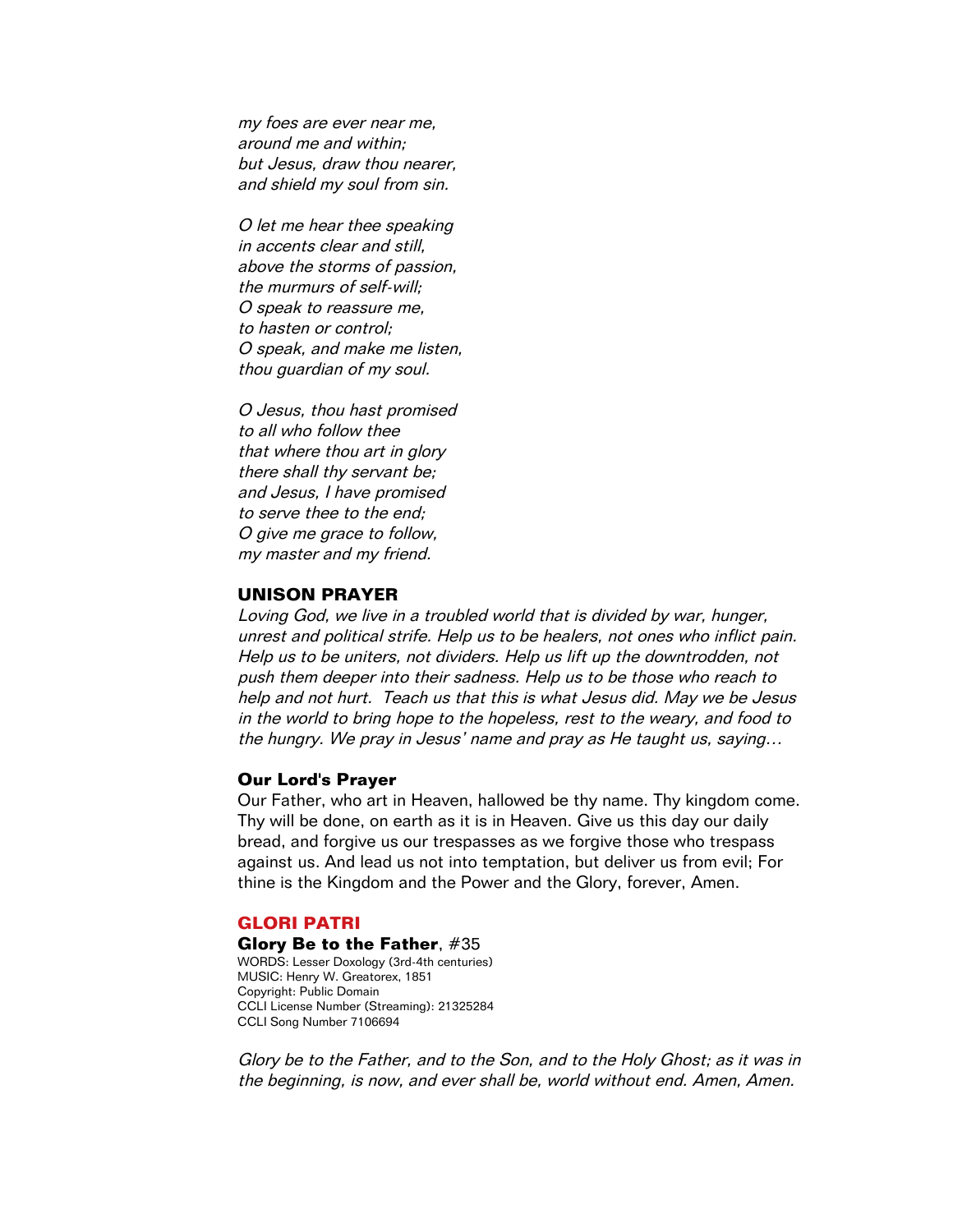my foes are ever near me, around me and within; but Jesus, draw thou nearer, and shield my soul from sin.

O let me hear thee speaking in accents clear and still, above the storms of passion, the murmurs of self-will; O speak to reassure me, to hasten or control; O speak, and make me listen, thou guardian of my soul.

O Jesus, thou hast promised to all who follow thee that where thou art in glory there shall thy servant be; and Jesus, I have promised to serve thee to the end; O give me grace to follow, my master and my friend.

## **UNISON PRAYER**

Loving God, we live in a troubled world that is divided by war, hunger, unrest and political strife. Help us to be healers, not ones who inflict pain. Help us to be uniters, not dividers. Help us lift up the downtrodden, not push them deeper into their sadness. Help us to be those who reach to help and not hurt. Teach us that this is what Jesus did. May we be Jesus in the world to bring hope to the hopeless, rest to the weary, and food to the hungry. We pray in Jesus' name and pray as He taught us, saying…

#### **Our Lord's Prayer**

Our Father, who art in Heaven, hallowed be thy name. Thy kingdom come. Thy will be done, on earth as it is in Heaven. Give us this day our daily bread, and forgive us our trespasses as we forgive those who trespass against us. And lead us not into temptation, but deliver us from evil; For thine is the Kingdom and the Power and the Glory, forever, Amen.

### **GLORI PATRI**

**Glory Be to the Father**, #35 WORDS: Lesser Doxology (3rd-4th centuries) MUSIC: Henry W. Greatorex, 1851 Copyright: Public Domain CCLI License Number (Streaming): 21325284 CCLI Song Number 7106694

Glory be to the Father, and to the Son, and to the Holy Ghost; as it was in the beginning, is now, and ever shall be, world without end. Amen, Amen.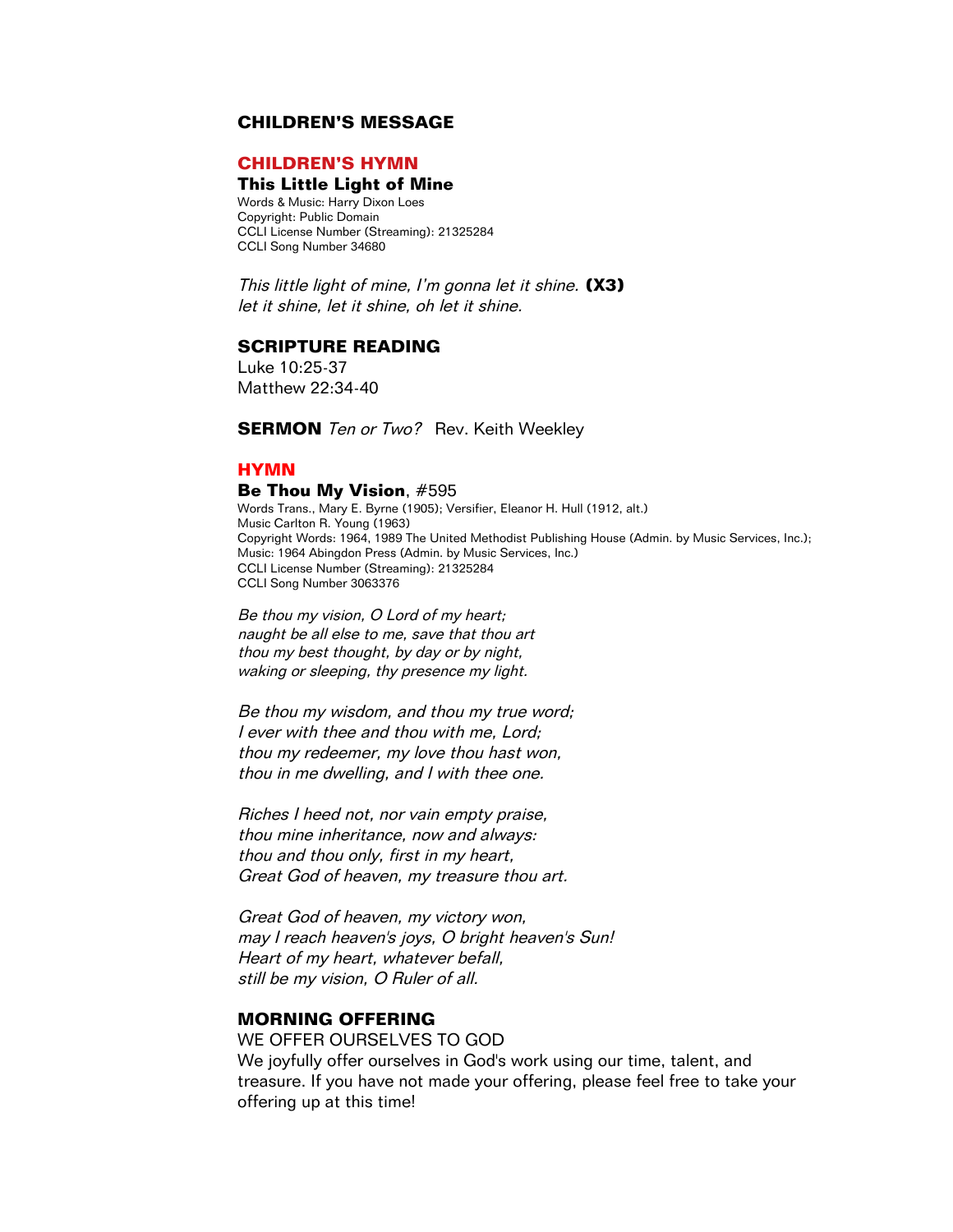## **CHILDREN'S MESSAGE**

## **CHILDREN'S HYMN**

## **This Little Light of Mine**

Words & Music: Harry Dixon Loes Copyright: Public Domain CCLI License Number (Streaming): 21325284 CCLI Song Number 34680

This little light of mine, I'm gonna let it shine. **(X3)** let it shine, let it shine, oh let it shine.

## **SCRIPTURE READING**

Luke 10:25-37 Matthew 22:34-40

**SERMON** Ten or Two? Rev. Keith Weekley

### **HYMN**

#### **Be Thou My Vision**, #595

Words Trans., Mary E. Byrne (1905); Versifier, Eleanor H. Hull (1912, alt.) Music Carlton R. Young (1963) Copyright Words: 1964, 1989 The United Methodist Publishing House (Admin. by Music Services, Inc.); Music: 1964 Abingdon Press (Admin. by Music Services, Inc.) CCLI License Number (Streaming): 21325284 CCLI Song Number 3063376

Be thou my vision, O Lord of my heart; naught be all else to me, save that thou art thou my best thought, by day or by night, waking or sleeping, thy presence my light.

Be thou my wisdom, and thou my true word; I ever with thee and thou with me, Lord; thou my redeemer, my love thou hast won, thou in me dwelling, and I with thee one.

Riches I heed not, nor vain empty praise, thou mine inheritance, now and always: thou and thou only, first in my heart, Great God of heaven, my treasure thou art.

Great God of heaven, my victory won, may I reach heaven's joys, O bright heaven's Sun! Heart of my heart, whatever befall, still be my vision, O Ruler of all.

# **MORNING OFFERING**

## WE OFFER OURSELVES TO GOD

We joyfully offer ourselves in God's work using our time, talent, and treasure. If you have not made your offering, please feel free to take your offering up at this time!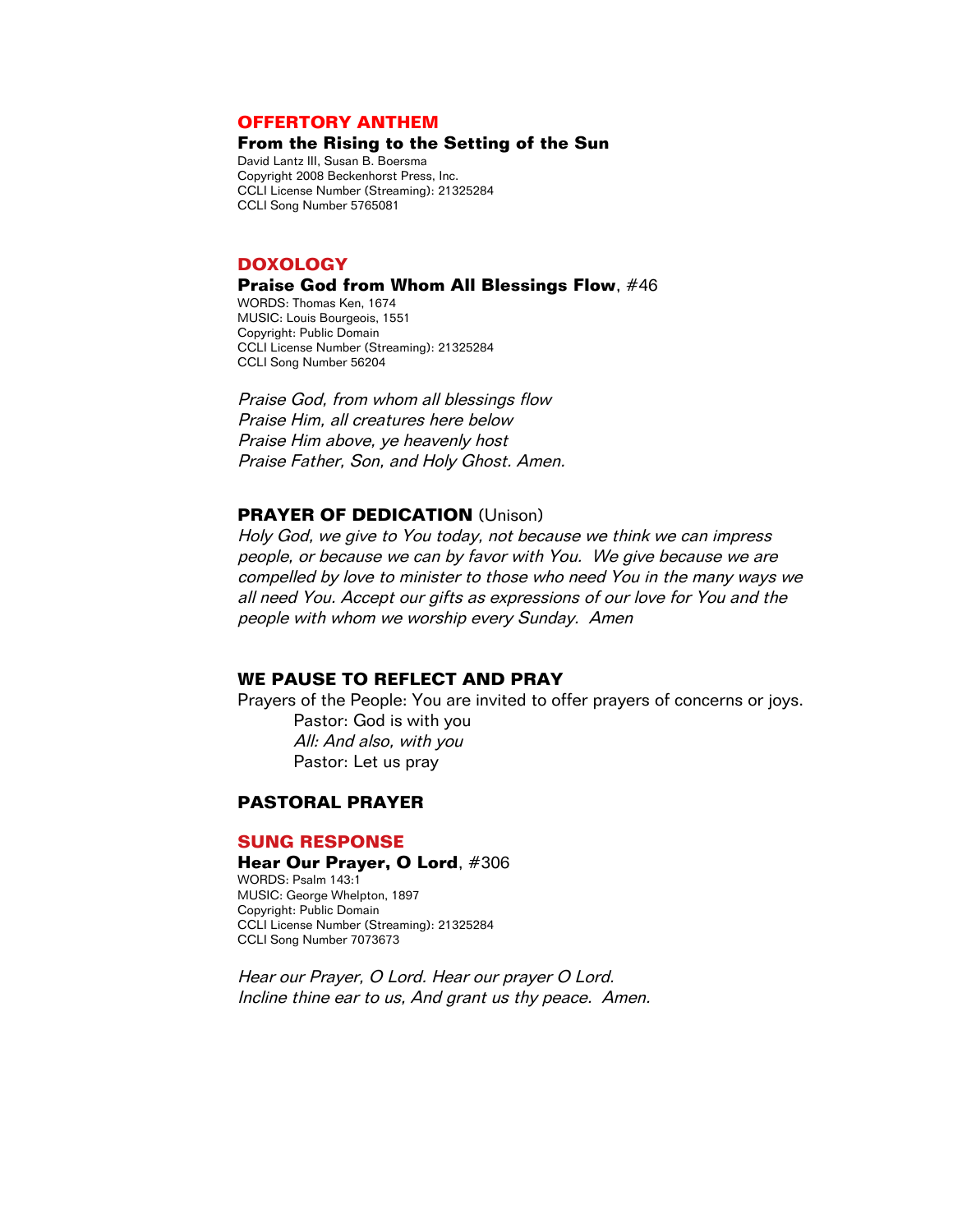## **OFFERTORY ANTHEM**

## **From the Rising to the Setting of the Sun**

David Lantz III, Susan B. Boersma Copyright 2008 Beckenhorst Press, Inc. CCLI License Number (Streaming): 21325284 CCLI Song Number 5765081

### **DOXOLOGY**

#### **Praise God from Whom All Blessings Flow**, #46

WORDS: Thomas Ken, 1674 MUSIC: Louis Bourgeois, 1551 Copyright: Public Domain CCLI License Number (Streaming): 21325284 CCLI Song Number 56204

Praise God, from whom all blessings flow Praise Him, all creatures here below Praise Him above, ye heavenly host Praise Father, Son, and Holy Ghost. Amen.

# **PRAYER OF DEDICATION** (Unison)

Holy God, we give to You today, not because we think we can impress people, or because we can by favor with You. We give because we are compelled by love to minister to those who need You in the many ways we all need You. Accept our gifts as expressions of our love for You and the people with whom we worship every Sunday. Amen

## **WE PAUSE TO REFLECT AND PRAY**

Prayers of the People: You are invited to offer prayers of concerns or joys. Pastor: God is with you All: And also, with you Pastor: Let us pray

# **PASTORAL PRAYER**

#### **SUNG RESPONSE**

#### **Hear Our Prayer, O Lord**, #306 WORDS: Psalm 143:1

MUSIC: George Whelpton, 1897 Copyright: Public Domain CCLI License Number (Streaming): 21325284 CCLI Song Number 7073673

Hear our Prayer, O Lord. Hear our prayer O Lord. Incline thine ear to us, And grant us thy peace. Amen.